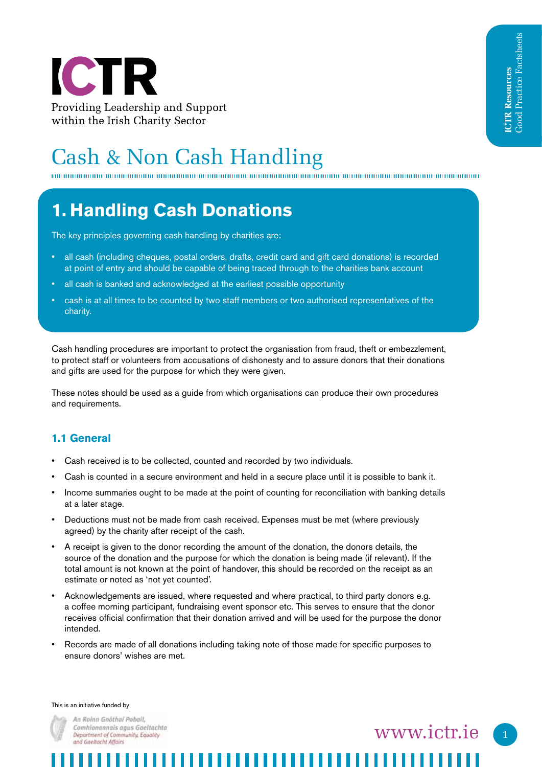

# Cash & Non Cash Handling

## **1. Handling Cash Donations**

The key principles governing cash handling by charities are:

- all cash (including cheques, postal orders, drafts, credit card and gift card donations) is recorded at point of entry and should be capable of being traced through to the charities bank account
- all cash is banked and acknowledged at the earliest possible opportunity
- cash is at all times to be counted by two staff members or two authorised representatives of the charity.

Cash handling procedures are important to protect the organisation from fraud, theft or embezzlement, to protect staff or volunteers from accusations of dishonesty and to assure donors that their donations and gifts are used for the purpose for which they were given.

These notes should be used as a guide from which organisations can produce their own procedures and requirements.

#### **1.1 General**

- Cash received is to be collected, counted and recorded by two individuals.
- Cash is counted in a secure environment and held in a secure place until it is possible to bank it.
- Income summaries ought to be made at the point of counting for reconciliation with banking details at a later stage.
- Deductions must not be made from cash received. Expenses must be met (where previously agreed) by the charity after receipt of the cash.
- A receipt is given to the donor recording the amount of the donation, the donors details, the source of the donation and the purpose for which the donation is being made (if relevant). If the total amount is not known at the point of handover, this should be recorded on the receipt as an estimate or noted as 'not yet counted'.
- Acknowledgements are issued, where requested and where practical, to third party donors e.g. a coffee morning participant, fundraising event sponsor etc. This serves to ensure that the donor receives official confirmation that their donation arrived and will be used for the purpose the donor intended.
- Records are made of all donations including taking note of those made for specific purposes to ensure donors' wishes are met.

#### This is an initiative funded by



An Roinn Gnöthal Poball. Comhionannais agus Gaeltachta Department of Community, Equality and Gaeltacht Affairs

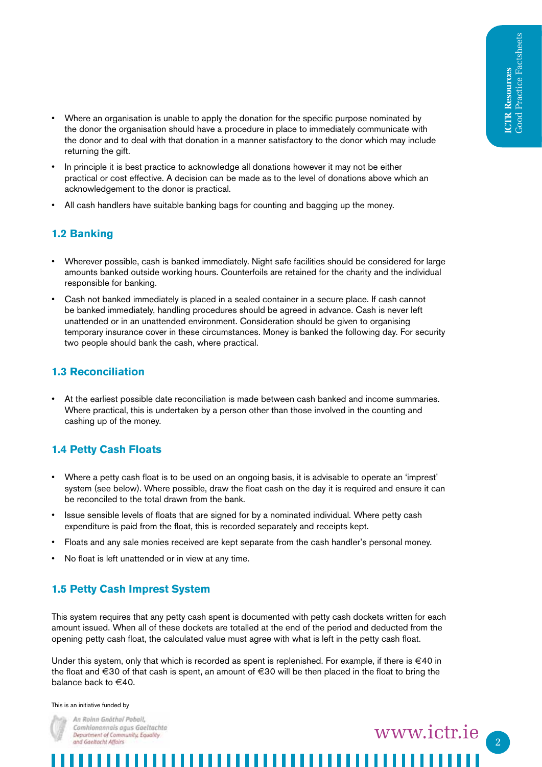- Where an organisation is unable to apply the donation for the specific purpose nominated by the donor the organisation should have a procedure in place to immediately communicate with the donor and to deal with that donation in a manner satisfactory to the donor which may include returning the gift.
- In principle it is best practice to acknowledge all donations however it may not be either practical or cost effective. A decision can be made as to the level of donations above which an acknowledgement to the donor is practical.
- All cash handlers have suitable banking bags for counting and bagging up the money.

### **1.2 Banking**

- Wherever possible, cash is banked immediately. Night safe facilities should be considered for large amounts banked outside working hours. Counterfoils are retained for the charity and the individual responsible for banking.
- Cash not banked immediately is placed in a sealed container in a secure place. If cash cannot be banked immediately, handling procedures should be agreed in advance. Cash is never left unattended or in an unattended environment. Consideration should be given to organising temporary insurance cover in these circumstances. Money is banked the following day. For security two people should bank the cash, where practical.

#### **1.3 Reconciliation**

• At the earliest possible date reconciliation is made between cash banked and income summaries. Where practical, this is undertaken by a person other than those involved in the counting and cashing up of the money.

## **1.4 Petty Cash Floats**

- Where a petty cash float is to be used on an ongoing basis, it is advisable to operate an 'imprest' system (see below). Where possible, draw the float cash on the day it is required and ensure it can be reconciled to the total drawn from the bank.
- Issue sensible levels of floats that are signed for by a nominated individual. Where petty cash expenditure is paid from the float, this is recorded separately and receipts kept.
- Floats and any sale monies received are kept separate from the cash handler's personal money.
- No float is left unattended or in view at any time.

## **1.5 Petty Cash Imprest System**

This system requires that any petty cash spent is documented with petty cash dockets written for each amount issued. When all of these dockets are totalled at the end of the period and deducted from the opening petty cash float, the calculated value must agree with what is left in the petty cash float.

Under this system, only that which is recorded as spent is replenished. For example, if there is  $\in$ 40 in the float and €30 of that cash is spent, an amount of €30 will be then placed in the float to bring the balance back to €40.

,,,,,,,,,,,,,,,,,

www.ictr.ie

#### This is an initiative funded by



An Roinn Gnöthal Poball. Comhionannais agus Gaeltachta Department of Community, Equality and Gaeltacht Affairs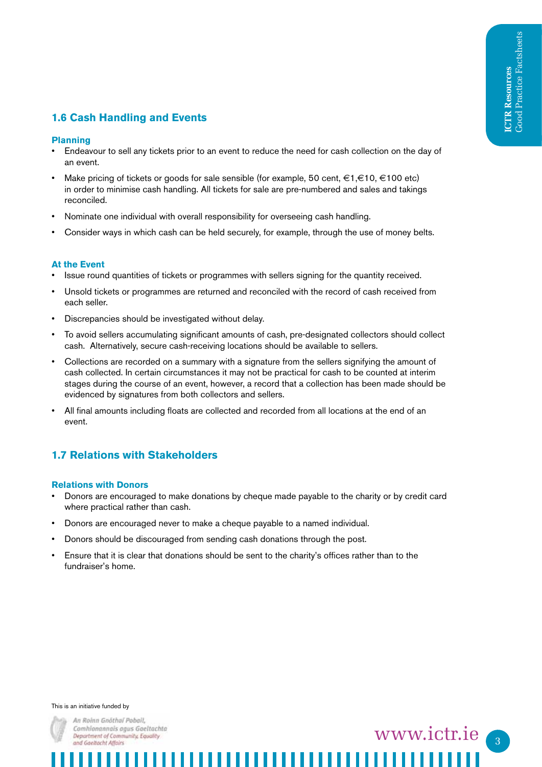### **1.6 Cash Handling and Events**

#### **Planning**

- Endeavour to sell any tickets prior to an event to reduce the need for cash collection on the day of an event.
- Make pricing of tickets or goods for sale sensible (for example, 50 cent, €1,€10, €100 etc) in order to minimise cash handling. All tickets for sale are pre-numbered and sales and takings reconciled.
- Nominate one individual with overall responsibility for overseeing cash handling.
- Consider ways in which cash can be held securely, for example, through the use of money belts.

#### **At the Event**

- Issue round quantities of tickets or programmes with sellers signing for the quantity received.
- Unsold tickets or programmes are returned and reconciled with the record of cash received from each seller.
- Discrepancies should be investigated without delay.
- To avoid sellers accumulating significant amounts of cash, pre-designated collectors should collect cash. Alternatively, secure cash-receiving locations should be available to sellers.
- Collections are recorded on a summary with a signature from the sellers signifying the amount of cash collected. In certain circumstances it may not be practical for cash to be counted at interim stages during the course of an event, however, a record that a collection has been made should be evidenced by signatures from both collectors and sellers.
- All final amounts including floats are collected and recorded from all locations at the end of an event.

#### **1.7 Relations with Stakeholders**

#### **Relations with Donors**

- Donors are encouraged to make donations by cheque made payable to the charity or by credit card where practical rather than cash.
- Donors are encouraged never to make a cheque payable to a named individual.
- Donors should be discouraged from sending cash donations through the post.
- Ensure that it is clear that donations should be sent to the charity's offices rather than to the fundraiser's home.

This is an initiative funded by



An Roinn Gnöthal Poball, Comhionannais agus Gaeltachta Department of Community, Equality and Gaeltacht Affairs

www.ictr.ie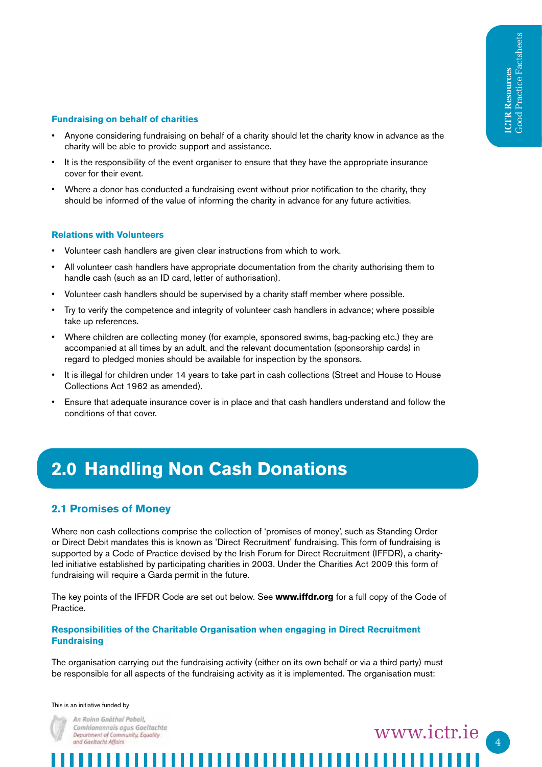#### **Fundraising on behalf of charities**

- Anyone considering fundraising on behalf of a charity should let the charity know in advance as the charity will be able to provide support and assistance.
- It is the responsibility of the event organiser to ensure that they have the appropriate insurance cover for their event.
- Where a donor has conducted a fundraising event without prior notification to the charity, they should be informed of the value of informing the charity in advance for any future activities.

#### **Relations with Volunteers**

- Volunteer cash handlers are given clear instructions from which to work.
- All volunteer cash handlers have appropriate documentation from the charity authorising them to handle cash (such as an ID card, letter of authorisation).
- Volunteer cash handlers should be supervised by a charity staff member where possible.
- Try to verify the competence and integrity of volunteer cash handlers in advance; where possible take up references.
- Where children are collecting money (for example, sponsored swims, bag-packing etc.) they are accompanied at all times by an adult, and the relevant documentation (sponsorship cards) in regard to pledged monies should be available for inspection by the sponsors.
- It is illegal for children under 14 years to take part in cash collections (Street and House to House Collections Act 1962 as amended).
- Ensure that adequate insurance cover is in place and that cash handlers understand and follow the conditions of that cover.

## **2.0 Handling Non Cash Donations**

#### **2.1 Promises of Money**

Where non cash collections comprise the collection of 'promises of money', such as Standing Order or Direct Debit mandates this is known as 'Direct Recruitment' fundraising. This form of fundraising is supported by a Code of Practice devised by the Irish Forum for Direct Recruitment (IFFDR), a charityled initiative established by participating charities in 2003. Under the Charities Act 2009 this form of fundraising will require a Garda permit in the future.

The key points of the IFFDR Code are set out below. See **www.iffdr.org** for a full copy of the Code of Practice.

#### **Responsibilities of the Charitable Organisation when engaging in Direct Recruitment Fundraising**

The organisation carrying out the fundraising activity (either on its own behalf or via a third party) must be responsible for all aspects of the fundraising activity as it is implemented. The organisation must:

This is an initiative funded by



An Roinn Gnöthal Poball. Comhionannais agus Gaeltachta Department of Community, Equality and Gaeltacht Affairs

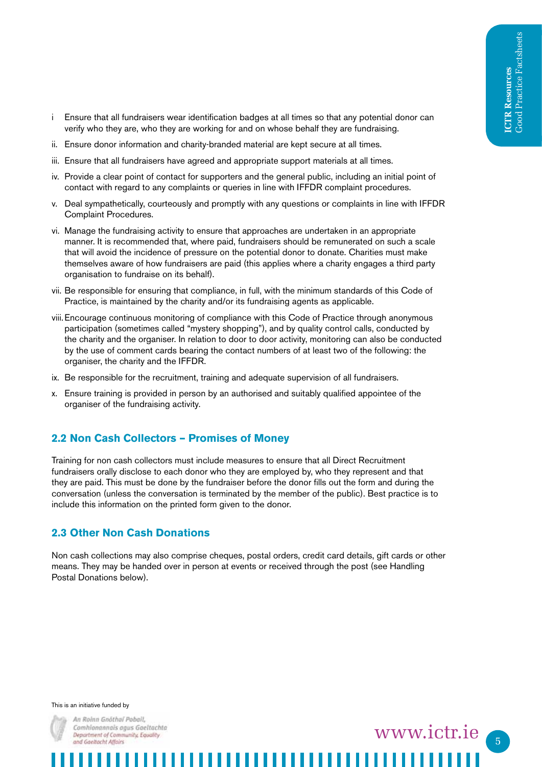- i Ensure that all fundraisers wear identification badges at all times so that any potential donor can verify who they are, who they are working for and on whose behalf they are fundraising.
- ii. Ensure donor information and charity-branded material are kept secure at all times.
- iii. Ensure that all fundraisers have agreed and appropriate support materials at all times.
- iv. Provide a clear point of contact for supporters and the general public, including an initial point of contact with regard to any complaints or queries in line with IFFDR complaint procedures.
- v. Deal sympathetically, courteously and promptly with any questions or complaints in line with IFFDR Complaint Procedures.
- vi. Manage the fundraising activity to ensure that approaches are undertaken in an appropriate manner. It is recommended that, where paid, fundraisers should be remunerated on such a scale that will avoid the incidence of pressure on the potential donor to donate. Charities must make themselves aware of how fundraisers are paid (this applies where a charity engages a third party organisation to fundraise on its behalf).
- vii. Be responsible for ensuring that compliance, in full, with the minimum standards of this Code of Practice, is maintained by the charity and/or its fundraising agents as applicable.
- viii.Encourage continuous monitoring of compliance with this Code of Practice through anonymous participation (sometimes called "mystery shopping"), and by quality control calls, conducted by the charity and the organiser. In relation to door to door activity, monitoring can also be conducted by the use of comment cards bearing the contact numbers of at least two of the following: the organiser, the charity and the IFFDR.
- ix. Be responsible for the recruitment, training and adequate supervision of all fundraisers.
- x. Ensure training is provided in person by an authorised and suitably qualified appointee of the organiser of the fundraising activity.

#### **2.2 Non Cash Collectors – Promises of Money**

Training for non cash collectors must include measures to ensure that all Direct Recruitment fundraisers orally disclose to each donor who they are employed by, who they represent and that they are paid. This must be done by the fundraiser before the donor fills out the form and during the conversation (unless the conversation is terminated by the member of the public). Best practice is to include this information on the printed form given to the donor.

#### **2.3 Other Non Cash Donations**

Non cash collections may also comprise cheques, postal orders, credit card details, gift cards or other means. They may be handed over in person at events or received through the post (see Handling Postal Donations below).

This is an initiative funded by



An Roinn Gnöthal Poball. Comhionannais agus Gaeltachta Department of Community, Equality and Gaeltacht Affairs

5 www.ictr.ie